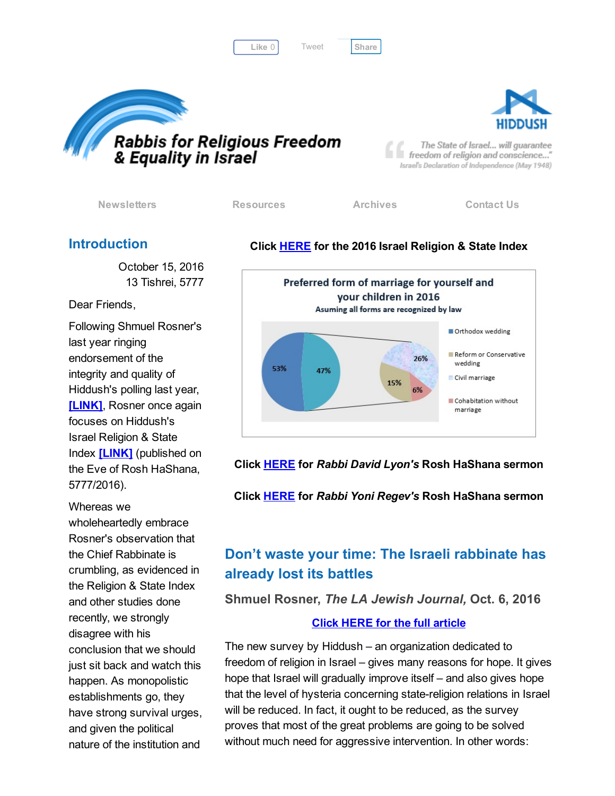Like 0 | Tweet | [Share](javascript:void(0);)

[Tweet](https://twitter.com/intent/tweet?original_referer=http%3A%2F%2Fhosted.verticalresponse.com%2F577764%2F2d231d47c2%2F1468724023%2F325ceb4427%2F&ref_src=twsrc%5Etfw&text=Bulletin%3A%202016%20Israel%20Religion%20%26%20State%20Index%3A&tw_p=tweetbutton&url=http%3A%2F%2Fhosted-p0.vresp.com%2F577764%2F2d231d47c2%2FARCHIVE%23.WAK3xrKPo9w.twitter)





The State of Israel... will guarantee freedom of religion and conscience..." Israel's Declaration of Independence (May 1948)

[Newsletters](http://cts.vresp.com/c/?FreedomofReligionfor/2d231d47c2/325ceb4427/82cfa760d6) [Resources](http://cts.vresp.com/c/?FreedomofReligionfor/2d231d47c2/325ceb4427/15ddfca136) [Archives](http://cts.vresp.com/c/?FreedomofReligionfor/2d231d47c2/325ceb4427/6eee21caea) [Contact](http://cts.vresp.com/c/?FreedomofReligionfor/2d231d47c2/325ceb4427/921243083d) Us

### Introduction

October 15, 2016 13 Tishrei, 5777

Dear Friends,

Following Shmuel Rosner's last year ringing endorsement of the integrity and quality of Hiddush's polling last year, **[LINK]**, Rosner once again focuses on Hiddush's Israel Religion & State Index [\[LINK\]](http://cts.vresp.com/c/?FreedomofReligionfor/2d231d47c2/325ceb4427/8e3ffacf4a) (published on the Eve of Rosh HaShana, 5777/2016).

Whereas we wholeheartedly embrace Rosner's observation that the Chief Rabbinate is crumbling, as evidenced in the Religion & State Index and other studies done recently, we strongly disagree with his conclusion that we should just sit back and watch this happen. As monopolistic establishments go, they have strong survival urges, and given the political nature of the institution and

### Click [HERE](http://cts.vresp.com/c/?FreedomofReligionfor/2d231d47c2/325ceb4427/9d6b9f6cd0) for the 2016 Israel Religion & State Index



Click [HERE](http://cts.vresp.com/c/?FreedomofReligionfor/2d231d47c2/325ceb4427/b357a2b7a5) for *Rabbi David Lyon's* Rosh HaShana sermon

Click [HERE](http://cts.vresp.com/c/?FreedomofReligionfor/2d231d47c2/325ceb4427/a986840f71) for *Rabbi Yoni Regev's* Rosh HaShana sermon

# Don't waste your time: The Israeli rabbinate has already lost its battles

Shmuel Rosner, *The LA Jewish Journal,* Oct. 6, 2016

### Click HERE for the full [article](http://cts.vresp.com/c/?FreedomofReligionfor/2d231d47c2/325ceb4427/ecdf717fb0)

The new survey by Hiddush – an organization dedicated to freedom of religion in Israel – gives many reasons for hope. It gives hope that Israel will gradually improve itself – and also gives hope that the level of hysteria concerning state-religion relations in Israel will be reduced. In fact, it ought to be reduced, as the survey proves that most of the great problems are going to be solved without much need for aggressive intervention. In other words: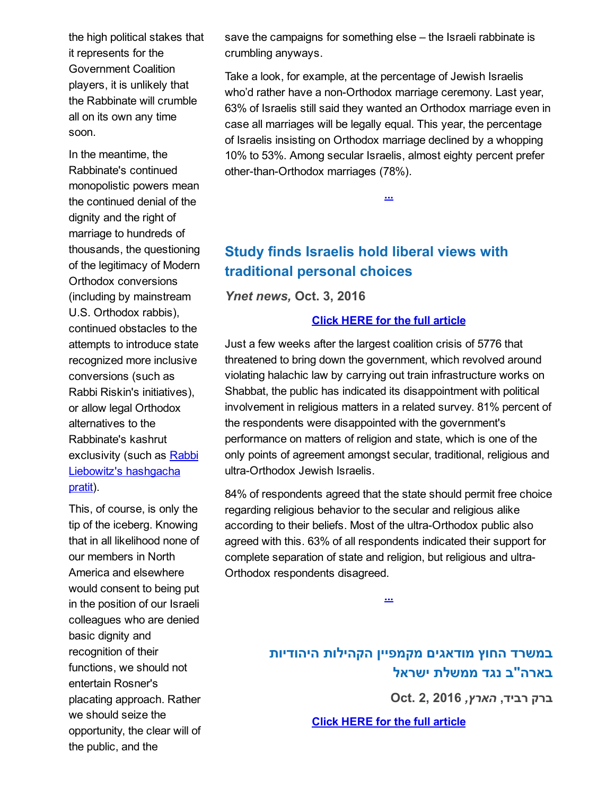the high political stakes that it represents for the Government Coalition players, it is unlikely that the Rabbinate will crumble all on its own any time soon.

In the meantime, the Rabbinate's continued monopolistic powers mean the continued denial of the dignity and the right of marriage to hundreds of thousands, the questioning of the legitimacy of Modern Orthodox conversions (including by mainstream U.S. Orthodox rabbis), continued obstacles to the attempts to introduce state recognized more inclusive conversions (such as Rabbi Riskin's initiatives), or allow legal Orthodox alternatives to the Rabbinate's kashrut exclusivity (such as Rabbi Liebowitz's [hashgacha](http://cts.vresp.com/c/?FreedomofReligionfor/2d231d47c2/325ceb4427/372fc94218) pratit).

This, of course, is only the tip of the iceberg. Knowing that in all likelihood none of our members in North America and elsewhere would consent to being put in the position of our Israeli colleagues who are denied basic dignity and recognition of their functions, we should not entertain Rosner's placating approach. Rather we should seize the opportunity, the clear will of the public, and the

save the campaigns for something else – the Israeli rabbinate is crumbling anyways.

Take a look, for example, at the percentage of Jewish Israelis who'd rather have a non-Orthodox marriage ceremony. Last year, 63% of Israelis still said they wanted an Orthodox marriage even in case all marriages will be legally equal. This year, the percentage of Israelis insisting on Orthodox marriage declined by a whopping 10% to 53%. Among secular Israelis, almost eighty percent prefer other-than-Orthodox marriages (78%).

[...](http://cts.vresp.com/c/?FreedomofReligionfor/2d231d47c2/325ceb4427/490624c292)

Study finds Israelis hold liberal views with traditional personal choices

*Ynet news,* Oct. 3, 2016

#### Click HERE for the full [article](http://cts.vresp.com/c/?FreedomofReligionfor/2d231d47c2/325ceb4427/0456d19ab2)

Just a few weeks after the largest coalition crisis of 5776 that threatened to bring down the government, which revolved around violating halachic law by carrying out train infrastructure works on Shabbat, the public has indicated its disappointment with political involvement in religious matters in a related survey. 81% percent of the respondents were disappointed with the government's performance on matters of religion and state, which is one of the only points of agreement amongst secular, traditional, religious and ultra-Orthodox Jewish Israelis.

84% of respondents agreed that the state should permit free choice regarding religious behavior to the secular and religious alike according to their beliefs. Most of the ultra-Orthodox public also agreed with this. 63% of all respondents indicated their support for complete separation of state and religion, but religious and ultra-Orthodox respondents disagreed.

[...](http://cts.vresp.com/c/?FreedomofReligionfor/2d231d47c2/325ceb4427/ca2388c858)

במשרד החוץ מודאגים מקמפיין הקהילות היהודיות בארה"ב נגד ממשלת ישראל

ברק רביד, *הארץ,* 2016 2, .Oct

Click HERE for the full [article](http://cts.vresp.com/c/?FreedomofReligionfor/2d231d47c2/325ceb4427/ce0ed4b52d)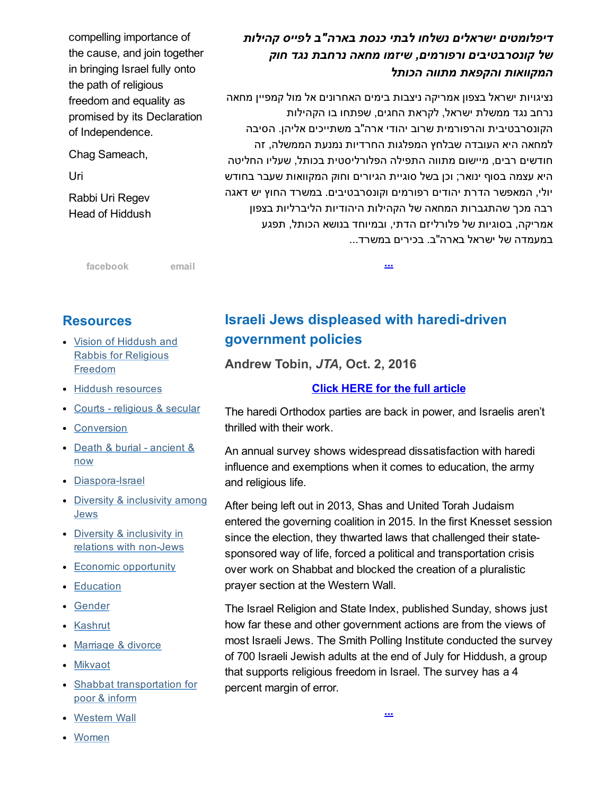compelling importance of the cause, and join together in bringing Israel fully onto the path of religious freedom and equality as promised by its Declaration of Independence.

Chag Sameach,

Uri

Rabbi Uri Regev Head of Hiddush

# *דיפלומטים ישראלים נשלחו לבתי כנסת בארה"ב לפייס קהילות של קונסרבטיבים ורפורמים, שיזמו מחאה נרחבת נגד חוק המקוואות והקפאת מתווה הכותל*

נציגויות ישראל בצפון אמריקה ניצבות בימים האחרונים אל מול קמפיין מחאה נרחב נגד ממשלת ישראל, לקראת החגים, שפתחו בו הקהילות הקונסרבטיבית והרפורמית שרוב יהודי ארה"ב משתייכים אליהן. הסיבה למחאה היא העובדה שבלחץ המפלגות החרדיות נמנעת הממשלה, זה חודשים רבים, מיישום מתווה התפילה הפלורליסטית בכותל, שעליו החליטה היא עצמה בסוף ינואר; וכן בשל סוגיית הגיורים וחוק המקוואות שעבר בחודש יולי, המאפשר הדרת יהודים רפורמים וקונסרבטיבים. במשרד החוץ יש דאגה רבה מכך שהתגברות המחאה של הקהילות היהודיות הליברליות בצפון אמריקה, בסוגיות של פלורליזם הדתי, ובמיוחד בנושא הכותל, תפגע במעמדה של ישראל בארה"ב. בכירים במשרד...

[...](http://cts.vresp.com/c/?FreedomofReligionfor/2d231d47c2/325ceb4427/1d850f1218)

[facebook](http://cts.vresp.com/c/?FreedomofReligionfor/2d231d47c2/325ceb4427/044ae5e407) [email](mailto:organizers@rrfei.org)

## **Resources**

- Vision of Hiddush and Rabbis for [Religious](http://cts.vresp.com/c/?FreedomofReligionfor/2d231d47c2/325ceb4427/c8d89f6c20) Freedom
- Hiddush [resources](http://cts.vresp.com/c/?FreedomofReligionfor/2d231d47c2/325ceb4427/e034a93294)
- Courts [religious](http://cts.vresp.com/c/?FreedomofReligionfor/2d231d47c2/325ceb4427/24637728c5) & secular
- [Conversion](http://cts.vresp.com/c/?FreedomofReligionfor/2d231d47c2/325ceb4427/67ce78105b)
- Death & burial [ancient](http://cts.vresp.com/c/?FreedomofReligionfor/2d231d47c2/325ceb4427/a092685e45) & now
- Diaspora-Israel
- Diversity & [inclusivity](http://cts.vresp.com/c/?FreedomofReligionfor/2d231d47c2/325ceb4427/df70998d10) among Jews
- Diversity & [inclusivity](http://cts.vresp.com/c/?FreedomofReligionfor/2d231d47c2/325ceb4427/5082d5e364) in relations with non-Jews
- Economic [opportunity](http://cts.vresp.com/c/?FreedomofReligionfor/2d231d47c2/325ceb4427/67f04b6ecb)
- [Education](http://cts.vresp.com/c/?FreedomofReligionfor/2d231d47c2/325ceb4427/20892b6da2)
- [Gender](http://cts.vresp.com/c/?FreedomofReligionfor/2d231d47c2/325ceb4427/378d989497)
- [Kashrut](http://cts.vresp.com/c/?FreedomofReligionfor/2d231d47c2/325ceb4427/a0e11febc3)
- [Marriage](http://cts.vresp.com/c/?FreedomofReligionfor/2d231d47c2/325ceb4427/f62f9b4065) & divorce
- [Mikvaot](http://cts.vresp.com/c/?FreedomofReligionfor/2d231d47c2/325ceb4427/4b735788b4)
- Shabbat [transportation](http://cts.vresp.com/c/?FreedomofReligionfor/2d231d47c2/325ceb4427/3a6660ab27) for poor & inform
- [Western](http://cts.vresp.com/c/?FreedomofReligionfor/2d231d47c2/325ceb4427/af00173a33) Wall
- [Women](http://cts.vresp.com/c/?FreedomofReligionfor/2d231d47c2/325ceb4427/d0e4bc1c0a)

# Israeli Jews displeased with haredi-driven government policies

Andrew Tobin, *JTA,* Oct. 2, 2016

### Click HERE for the full [article](http://cts.vresp.com/c/?FreedomofReligionfor/2d231d47c2/325ceb4427/7c35ccb003)

The haredi Orthodox parties are back in power, and Israelis aren't thrilled with their work.

An annual survey shows widespread dissatisfaction with haredi influence and exemptions when it comes to education, the army and religious life.

After being left out in 2013, Shas and United Torah Judaism entered the governing coalition in 2015. In the first Knesset session since the election, they thwarted laws that challenged their statesponsored way of life, forced a political and transportation crisis over work on Shabbat and blocked the creation of a pluralistic prayer section at the Western Wall.

The Israel Religion and State Index, published Sunday, shows just how far these and other government actions are from the views of most Israeli Jews. The Smith Polling Institute conducted the survey of 700 Israeli Jewish adults at the end of July for Hiddush, a group that supports religious freedom in Israel. The survey has a 4 percent margin of error.

[...](http://cts.vresp.com/c/?FreedomofReligionfor/2d231d47c2/325ceb4427/667f3eda97)